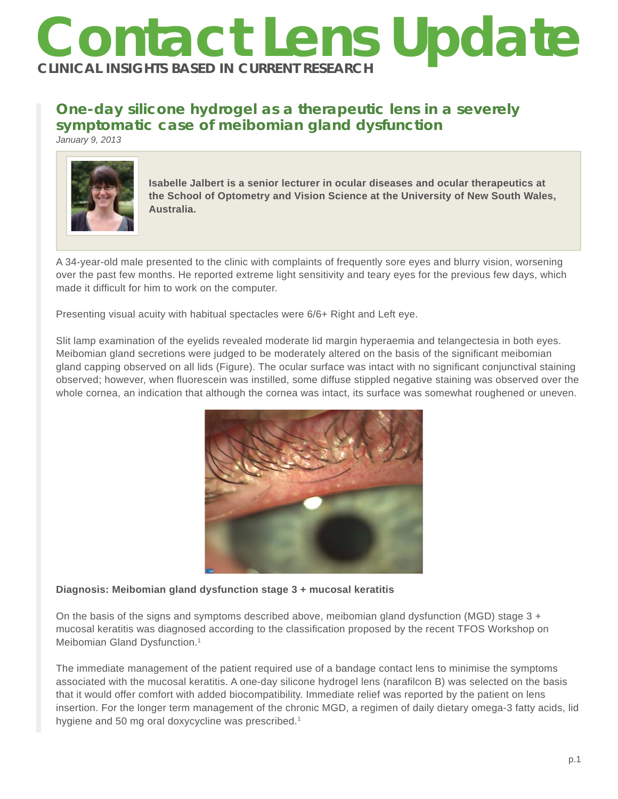# **Contact Lens Update CLINICAL INSIGHTS BASED IN CURRENT RESEARCH**

# **One-day silicone hydrogel as a therapeutic lens in a severely symptomatic case of meibomian gland dysfunction**

*January 9, 2013*



**Isabelle Jalbert is a senior lecturer in ocular diseases and ocular therapeutics at the School of Optometry and Vision Science at the University of New South Wales, Australia.** 

A 34-year-old male presented to the clinic with complaints of frequently sore eyes and blurry vision, worsening over the past few months. He reported extreme light sensitivity and teary eyes for the previous few days, which made it difficult for him to work on the computer.

Presenting visual acuity with habitual spectacles were 6/6+ Right and Left eye.

Slit lamp examination of the eyelids revealed moderate lid margin hyperaemia and telangectesia in both eyes. Meibomian gland secretions were judged to be moderately altered on the basis of the significant meibomian gland capping observed on all lids (Figure). The ocular surface was intact with no significant conjunctival staining observed; however, when fluorescein was instilled, some diffuse stippled negative staining was observed over the whole cornea, an indication that although the cornea was intact, its surface was somewhat roughened or uneven.



## **Diagnosis: Meibomian gland dysfunction stage 3 + mucosal keratitis**

On the basis of the signs and symptoms described above, meibomian gland dysfunction (MGD) stage 3 + mucosal keratitis was diagnosed according to the classification proposed by the recent TFOS Workshop on Meibomian Gland Dysfunction.<sup>1</sup>

The immediate management of the patient required use of a bandage contact lens to minimise the symptoms associated with the mucosal keratitis. A one-day silicone hydrogel lens (narafilcon B) was selected on the basis that it would offer comfort with added biocompatibility. Immediate relief was reported by the patient on lens insertion. For the longer term management of the chronic MGD, a regimen of daily dietary omega-3 fatty acids, lid hygiene and 50 mg oral doxycycline was prescribed.<sup>1</sup>